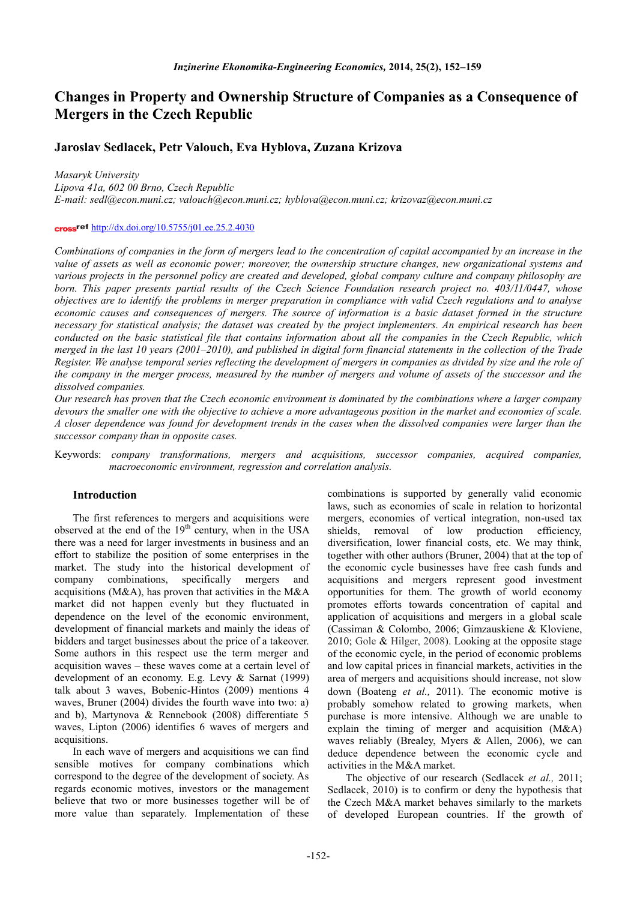# **Changes in Property and Ownership Structure of Companies as a Consequence of Mergers in the Czech Republic**

# **Jaroslav Sedlacek, Petr Valouch, Eva Hyblova, Zuzana Krizova**

*Masaryk University*

*Lipova 41a, 602 00 Brno, Czech Republic*

*E-mail: sedl@econ.muni.cz; valouch@econ.muni.cz; hyblova@econ.muni.cz; krizovaz@econ.muni.cz*

### crossref http://dx.doi.org/10.5755/j01.ee.25.2.4030

*Combinations of companies in the form of mergers lead to the concentration of capital accompanied by an increase in the value of assets as well as economic power; moreover, the ownership structure changes, new organizational systems and various projects in the personnel policy are created and developed, global company culture and company philosophy are*  born. This paper presents partial results of the Czech Science Foundation research project no. 403/11/0447, whose *objectives are to identify the problems in merger preparation in compliance with valid Czech regulations and to analyse economic causes and consequences of mergers. The source of information is a basic dataset formed in the structure necessary for statistical analysis; the dataset was created by the project implementers. An empirical research has been conducted on the basic statistical file that contains information about all the companies in the Czech Republic, which merged in the last 10 years (2001–2010), and published in digital form financial statements in the collection of the Trade Register. We analyse temporal series reflecting the development of mergers in companies as divided by size and the role of the company in the merger process, measured by the number of mergers and volume of assets of the successor and the dissolved companies.*

*Our research has proven that the Czech economic environment is dominated by the combinations where a larger company devours the smaller one with the objective to achieve a more advantageous position in the market and economies of scale. A closer dependence was found for development trends in the cases when the dissolved companies were larger than the successor company than in opposite cases.*

Keywords: *company transformations, mergers and acquisitions, successor companies, acquired companies, macroeconomic environment, regression and correlation analysis.*

## **Introduction**

The first references to mergers and acquisitions were observed at the end of the  $19<sup>th</sup>$  century, when in the USA there was a need for larger investments in business and an effort to stabilize the position of some enterprises in the market. The study into the historical development of company combinations, specifically mergers and acquisitions (M&A), has proven that activities in the M&A market did not happen evenly but they fluctuated in dependence on the level of the economic environment, development of financial markets and mainly the ideas of bidders and target businesses about the price of a takeover. Some authors in this respect use the term merger and acquisition waves  $-$  these waves come at a certain level of development of an economy. E.g. Levy  $\&$  Sarnat (1999) talk about 3 waves, Bobenic-Hintos (2009) mentions 4 waves, Bruner  $(2004)$  divides the fourth wave into two: a) and b), Martynova & Rennebook  $(2008)$  differentiate 5 waves, Lipton (2006) identifies 6 waves of mergers and acquisitions.

In each wave of mergers and acquisitions we can find sensible motives for company combinations which correspond to the degree of the development of society. As regards economic motives, investors or the management believe that two or more businesses together will be of more value than separately. Implementation of these

combinations is supported by generally valid economic laws, such as economies of scale in relation to horizontal mergers, economies of vertical integration, non-used tax shields, removal of low production efficiency, diversification, lower financial costs, etc. We may think, together with other authors (Bruner, 2004) that at the top of the economic cycle businesses have free cash funds and acquisitions and mergers represent good investment opportunities for them. The growth of world economy promotes efforts towards concentration of capital and application of acquisitions and mergers in a global scale (Cassiman & Colombo, 2006; Gimzauskiene & Kloviene, 2010; Gole & Hilger, 2008). Looking at the opposite stage of the economic cycle, in the period of economic problems and low capital prices in financial markets, activities in the area of mergers and acquisitions should increase, not slow down (Boateng *et al.*, 2011). The economic motive is probably somehow related to growing markets, when purchase is more intensive. Although we are unable to explain the timing of merger and acquisition  $(M&A)$ waves reliably (Brealey, Myers & Allen, 2006), we can deduce dependence between the economic cycle and activities in the  $M&A$  market.

The objective of our research (Sedlacek et al., 2011; Sedlacek,  $2010$ ) is to confirm or deny the hypothesis that the Czech M&A market behaves similarly to the markets of developed European countries. If the growth of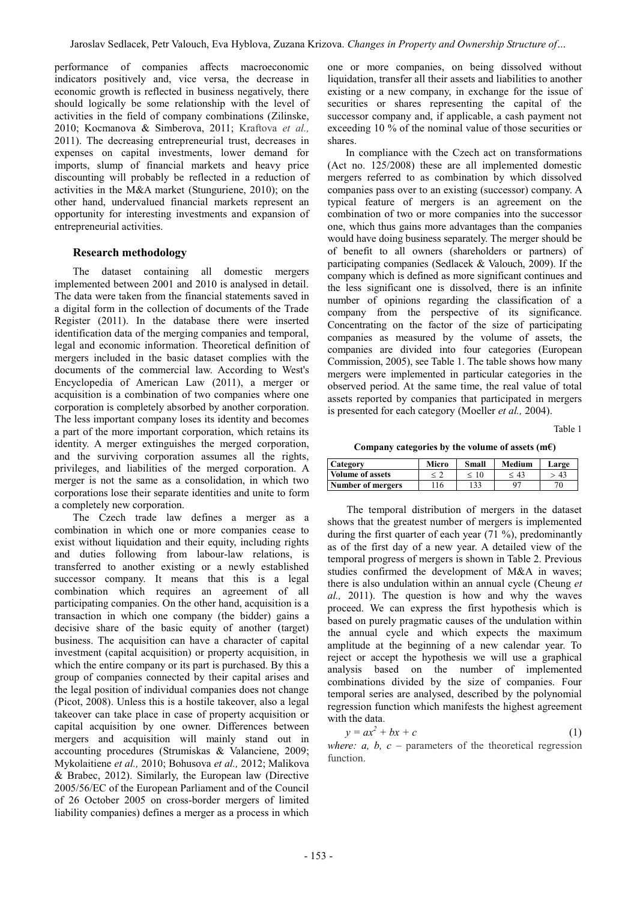performance of companies affects macroeconomic indicators positively and, vice versa, the decrease in economic growth is reflected in business negatively, there should logically be some relationship with the level of activities in the field of company combinations (Zilinske, 2010; Kocmanova & Simberova, 2011; Kraftova et al., 2011). The decreasing entrepreneurial trust, decreases in expenses on capital investments, lower demand for imports, slump of financial markets and heavy price discounting will probably be reflected in a reduction of activities in the M&A market (Stunguriene, 2010); on the other hand, undervalued financial markets represent an opportunity for interesting investments and expansion of entrepreneurial activities.

# **Research methodology**

The dataset containing all domestic mergers implemented between 2001 and 2010 is analysed in detail. The data were taken from the financial statements saved in a digital form in the collection of documents of the Trade Register (2011). In the database there were inserted identification data of the merging companies and temporal, legal and economic information. Theoretical definition of mergers included in the basic dataset complies with the documents of the commercial law. According to West's Encyclopedia of American Law (2011), a merger or acquisition is a combination of two companies where one corporation is completely absorbed by another corporation. The less important company loses its identity and becomes a part of the more important corporation, which retains its identity. A merger extinguishes the merged corporation, and the surviving corporation assumes all the rights, privileges, and liabilities of the merged corporation. A merger is not the same as a consolidation, in which two corporations lose their separate identities and unite to form a completely new corporation.

The Czech trade law defines a merger as a combination in which one or more companies cease to exist without liquidation and their equity, including rights and duties following from labour-law relations, is transferred to another existing or a newly established successor company. It means that this is a legal combination which requires an agreement of all participating companies. On the other hand, acquisition is a transaction in which one company (the bidder) gains a decisive share of the basic equity of another (target) business. The acquisition can have a character of capital investment (capital acquisition) or property acquisition, in which the entire company or its part is purchased. By this a group of companies connected by their capital arises and the legal position of individual companies does not change (Picot, 2008). Unless this is a hostile takeover, also a legal takeover can take place in case of property acquisition or capital acquisition by one owner. Differences between mergers and acquisition will mainly stand out in accounting procedures (Strumiskas & Valanciene, 2009; Mykolaitiene et al., 2010; Bohusova et al., 2012; Malikova & Brabec, 2012). Similarly, the European law (Directive 2005/56/EC of the European Parliament and of the Council of 26 October 2005 on cross-border mergers of limited liability companies) defines a merger as a process in which

one or more companies, on being dissolved without liquidation, transfer all their assets and liabilities to another existing or a new company, in exchange for the issue of securities or shares representing the capital of the successor company and, if applicable, a cash payment not exceeding 10 % of the nominal value of those securities or shares.

In compliance with the Czech act on transformations  $(Act no. 125/2008)$  these are all implemented domestic mergers referred to as combination by which dissolved companies pass over to an existing (successor) company. A typical feature of mergers is an agreement on the combination of two or more companies into the successor one, which thus gains more advantages than the companies would have doing business separately. The merger should be of benefit to all owners (shareholders or partners) of participating companies (Sedlacek & Valouch, 2009). If the company which is defined as more significant continues and the less significant one is dissolved, there is an infinite number of opinions regarding the classification of a company from the perspective of its significance. Concentrating on the factor of the size of participating companies as measured by the volume of assets, the companies are divided into four categories (European Commission, 2005), see Table 1. The table shows how many mergers were implemented in particular categories in the observed period. At the same time, the real value of total assets reported by companies that participated in mergers is presented for each category (Moeller *et al.*, 2004).

Table 1

Company categories by the volume of assets  $(m \ell)$ 

| Category          | Micro | Small | <b>Medium</b> | Large |
|-------------------|-------|-------|---------------|-------|
| Volume of assets  |       | < 10  | < 43          | -43   |
| Number of mergers | '16   | 133   |               | 70    |

The temporal distribution of mergers in the dataset shows that the greatest number of mergers is implemented during the first quarter of each year  $(71\%)$ , predominantly as of the first day of a new year. A detailed view of the temporal progress of mergers is shown in Table 2. Previous studies confirmed the development of M&A in waves; there is also undulation within an annual cycle (Cheung et al., 2011). The question is how and why the waves proceed. We can express the first hypothesis which is based on purely pragmatic causes of the undulation within the annual cycle and which expects the maximum amplitude at the beginning of a new calendar year. To reject or accept the hypothesis we will use a graphical analysis based on the number of implemented combinations divided by the size of companies. Four temporal series are analysed, described by the polynomial regression function which manifests the highest agreement with the data.

$$
y = ax^2 + bx + c \tag{1}
$$

where:  $a$ ,  $b$ ,  $c$  – parameters of the theoretical regression function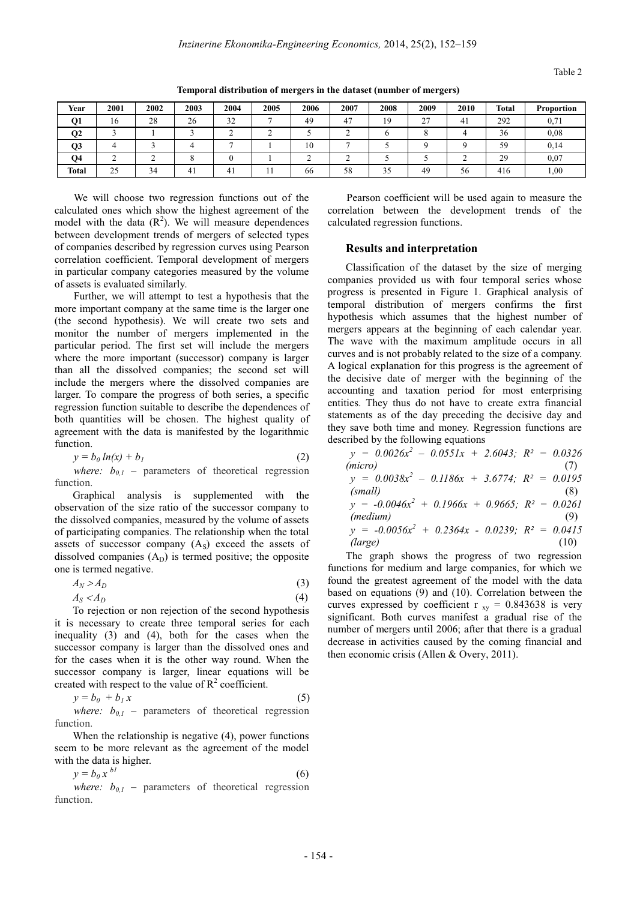| Year         | 2001 | 2002 | 2003 | 2004 | 2005 | 2006 | 2007 | 2008 | 2009    | 2010 | <b>Total</b> | <b>Proportion</b> |
|--------------|------|------|------|------|------|------|------|------|---------|------|--------------|-------------------|
| Q1           | 16   | 28   | 26   | 32   |      | 49   | 47   | 19   | 27<br>∼ | 41   | 292          | 0,71              |
| Q2           |      |      |      |      |      |      |      |      |         |      | 36           | 0.08              |
| Q3           |      |      |      |      |      | 10   |      |      |         |      | 59           | 0,14              |
| Q4           |      |      |      |      |      |      |      |      |         |      | 29           | 0.07              |
| <b>Total</b> | 25   | 34   |      | 41   |      | 66   | 58   | 35   | 49      | 56   | 416          | 1,00              |

**Temporal distribution of mergers in the dataset (number of mergers)** 

We will choose two regression functions out of the calculated ones which show the highest agreement of the model with the data  $(R^2)$ . We will measure dependences between development trends of mergers of selected types of companies described by regression curves using Pearson correlation coefficient. Temporal development of mergers in particular company categories measured by the volume of assets is evaluated similarly.

Further, we will attempt to test a hypothesis that the more important company at the same time is the larger one (the second hypothesis). We will create two sets and monitor the number of mergers implemented in the particular period. The first set will include the mergers where the more important (successor) company is larger than all the dissolved companies; the second set will include the mergers where the dissolved companies are larger. To compare the progress of both series, a specific regression function suitable to describe the dependences of both quantities will be chosen. The highest quality of agreement with the data is manifested by the logarithmic function.

$$
y = b_0 \ln(x) + b_1 \tag{2}
$$

*where:*  $b_{0,1}$  – parameters of theoretical regression function.

Graphical analysis is supplemented with the observation of the size ratio of the successor company to the dissolved companies, measured by the volume of assets of participating companies. The relationship when the total assets of successor company  $(A<sub>S</sub>)$  exceed the assets of dissolved companies  $(A_D)$  is termed positive; the opposite one is termed negative.

$$
A_N > A_D \tag{3}
$$

$$
A_S < A_D \tag{4}
$$

To rejection or non rejection of the second hypothesis it is necessary to create three temporal series for each inequality  $(3)$  and  $(4)$ , both for the cases when the successor company is larger than the dissolved ones and for the cases when it is the other way round. When the successor company is larger, linear equations will be created with respect to the value of  $R^2$  coefficient.

$$
y = b_0 + b_1 x \tag{5}
$$

*where:*  $b_{0,1}$  – parameters of theoretical regression function.

When the relationship is negative  $(4)$ , power functions seem to be more relevant as the agreement of the model with the data is higher.

$$
y = b_0 x^{bl} \tag{6}
$$

*where:*  $b_{0,I}$  – parameters of theoretical regression function.

Pearson coefficient will be used again to measure the correlation between the development trends of the calculated regression functions.

#### **Results and interpretation**

Classification of the dataset by the size of merging companies provided us with four temporal series whose progress is presented in Figure 1. Graphical analysis of temporal distribution of mergers confirms the first hypothesis which assumes that the highest number of mergers appears at the beginning of each calendar year. The wave with the maximum amplitude occurs in all curves and is not probably related to the size of a company. A logical explanation for this progress is the agreement of the decisive date of merger with the beginning of the accounting and taxation period for most enterprising entities. They thus do not have to create extra financial statements as of the day preceding the decisive day and they save both time and money. Regression functions are described by the following equations

$$
y = 0.0026x2 - 0.0551x + 2.6043; R2 = 0.0326
$$
  
(micro)  

$$
y = 0.0038x2 - 0.1186x + 3.6774; R2 = 0.0195
$$
  
(small)  

$$
y = -0.0046x2 + 0.1966x + 0.9665; R2 = 0.0261
$$
  
(medium)  

$$
y = -0.0056x2 + 0.2364x - 0.0239; R2 = 0.0415
$$
  
(large) (10)

The graph shows the progress of two regression functions for medium and large companies, for which we found the greatest agreement of the model with the data based on equations  $(9)$  and  $(10)$ . Correlation between the curves expressed by coefficient r  $_{xy}$  = 0.843638 is very significant. Both curves manifest a gradual rise of the number of mergers until 2006; after that there is a gradual decrease in activities caused by the coming financial and then economic crisis (Allen & Overy, 2011).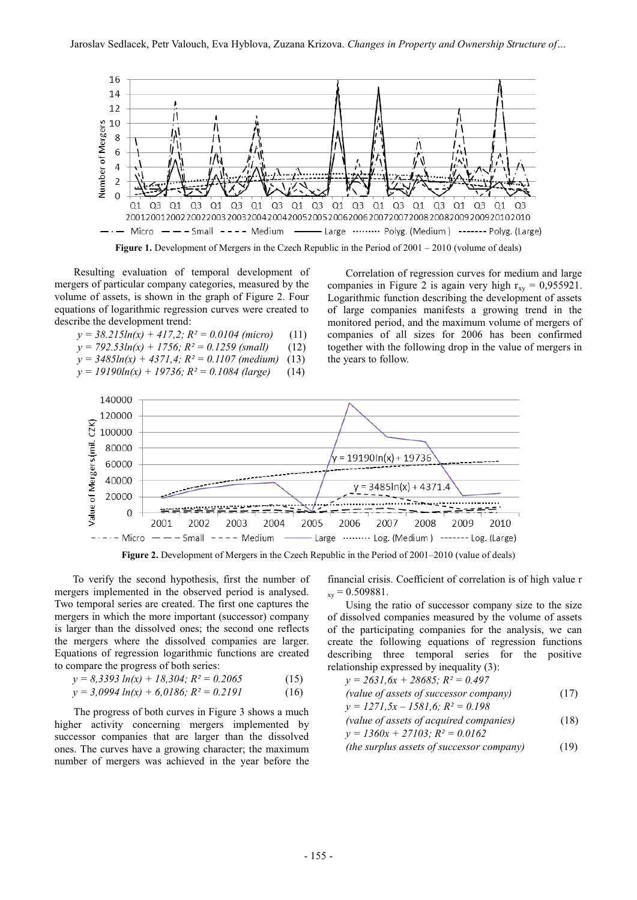

Resulting evaluation of temporal development of mergers of particular company categories, measured by the volume of assets, is shown in the graph of Figure 2. Four equations of logarithmic regression curves were created to describe the development trend:

| $y = 38.215\ln(x) + 417.2$ ; $R^2 = 0.0104$ (micro)     | (11) |
|---------------------------------------------------------|------|
| $y = 792.53\ln(x) + 1756$ ; $R^2 = 0.1259$ (small)      | (12) |
| $v = 3485ln(x) + 4371.4$ ; $R^2 = 0.1107$ (medium) (13) |      |

- 
- *y = 19190ln(x) + 19736; R² = 0.1084 (large)*

Correlation of regression curves for medium and large companies in Figure 2 is again very high  $r_{xy} = 0.955921$ . Logarithmic function describing the development of assets of large companies manifests a growing trend in the monitored period, and the maximum volume of mergers of companies of all sizes for 2006 has been confirmed together with the following drop in the value of mergers in the years to follow.



**Figure 2.** Development of Mergers in the Czech Republic in the Period of 2001–2010 (value of deals)

To verify the second hypothesis, first the number of mergers implemented in the observed period is analysed. Two temporal series are created. The first one captures the mergers in which the more important (successor) company is larger than the dissolved ones; the second one reflects the mergers where the dissolved companies are larger. Equations of regression logarithmic functions are created to compare the progress of both series:

$$
y = 8,3393 \ln(x) + 18,304; R^2 = 0.2065 \tag{15}
$$

$$
y = 3,0994 \ln(x) + 6,0186; R^2 = 0.2191 \tag{16}
$$

The progress of both curves in Figure 3 shows a much higher activity concerning mergers implemented by successor companies that are larger than the dissolved ones. The curves have a growing character; the maximum number of mergers was achieved in the year before the

financial crisis. Coefficient of correlation is of high value r  $_{xy} = 0.509881.$ 

Using the ratio of successor company size to the size of dissolved companies measured by the volume of assets of the participating companies for the analysis, we can create the following equations of regression functions describing three temporal series for the positive relationship expressed by inequality  $(3)$ :

$$
y = 2631, 6x + 28685; R2 = 0.497
$$
  
(value of assets of successor company)  

$$
y = 1271, 5x - 1581, 6; R2 = 0.198
$$
  
(value of assets of acquired companies)  

$$
y = 1360x + 27103; R2 = 0.0162
$$
 (18)

*(the surplus assets of successor company)*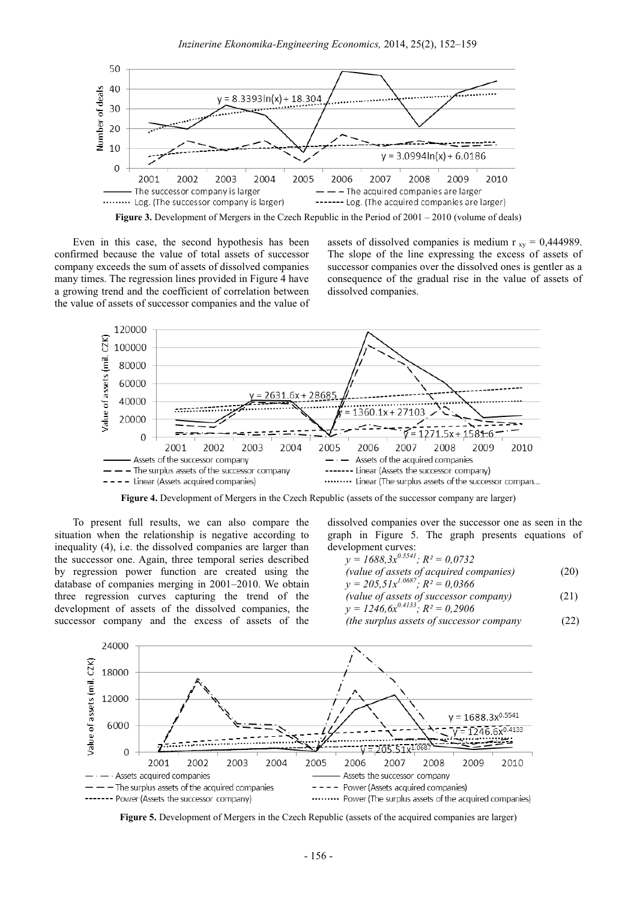

Figure 3. Development of Mergers in the Czech Republic in the Period of  $2001 - 2010$  (volume of deals)

Even in this case, the second hypothesis has been confirmed because the value of total assets of successor company exceeds the sum of assets of dissolved companies many times. The regression lines provided in Figure 4 have a growing trend and the coefficient of correlation between the value of assets of successor companies and the value of assets of dissolved companies is medium  $r_{xy} = 0,444989$ . The slope of the line expressing the excess of assets of successor companies over the dissolved ones is gentler as a consequence of the gradual rise in the value of assets of dissolved companies.



Figure 4. Development of Mergers in the Czech Republic (assets of the successor company are larger)

To present full results, we can also compare the situation when the relationship is negative according to inequality (4), i.e. the dissolved companies are larger than the successor one. Again, three temporal series described by regression power function are created using the database of companies merging in 2001–2010. We obtain three regression curves capturing the trend of the development of assets of the dissolved companies, the successor company and the excess of assets of the

dissolved companies over the successor one as seen in the graph in Figure 5. The graph presents equations of development curves:

$$
y = 1688, 3x^{0.554}, R^2 = 0.0732
$$
  
(value of assets of acquired companies)  

$$
y = 205, 51x^{1.0687}; R^2 = 0.0366
$$

$$
y = 1246.6x^{0.4133}; R^2 = 0,2906
$$
 (21)

 $(22)$ (the surplus assets of successor company



Figure 5. Development of Mergers in the Czech Republic (assets of the acquired companies are larger)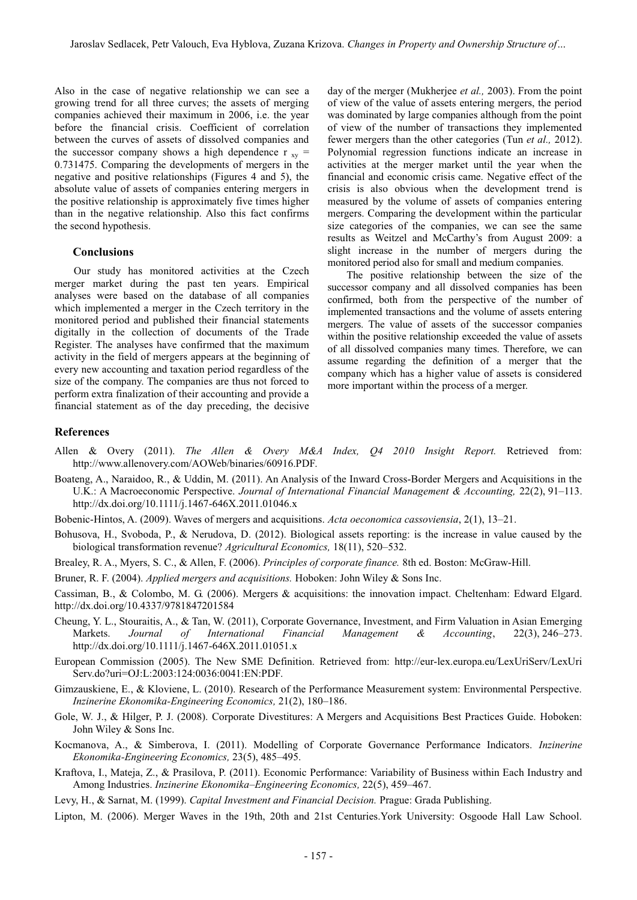Also in the case of negative relationship we can see a growing trend for all three curves; the assets of merging companies achieved their maximum in 2006, i.e. the year before the financial crisis. Coefficient of correlation between the curves of assets of dissolved companies and the successor company shows a high dependence  $r_{xy}$  = 0.731475. Comparing the developments of mergers in the negative and positive relationships (Figures 4 and 5), the absolute value of assets of companies entering mergers in the positive relationship is approximately five times higher than in the negative relationship. Also this fact confirms the second hypothesis.

### **Conclusions**

Our study has monitored activities at the Czech merger market during the past ten years. Empirical analyses were based on the database of all companies which implemented a merger in the Czech territory in the monitored period and published their financial statements digitally in the collection of documents of the Trade Register. The analyses have confirmed that the maximum activity in the field of mergers appears at the beginning of every new accounting and taxation period regardless of the size of the company. The companies are thus not forced to perform extra finalization of their accounting and provide a financial statement as of the day preceding, the decisive

day of the merger (Mukherjee et al., 2003). From the point of view of the value of assets entering mergers, the period was dominated by large companies although from the point of view of the number of transactions they implemented fewer mergers than the other categories (Tun et al., 2012). Polynomial regression functions indicate an increase in activities at the merger market until the year when the financial and economic crisis came. Negative effect of the crisis is also obvious when the development trend is measured by the volume of assets of companies entering mergers. Comparing the development within the particular size categories of the companies, we can see the same results as Weitzel and McCarthy's from August 2009: a slight increase in the number of mergers during the monitored period also for small and medium companies.

The positive relationship between the size of the successor company and all dissolved companies has been confirmed, both from the perspective of the number of implemented transactions and the volume of assets entering mergers. The value of assets of the successor companies within the positive relationship exceeded the value of assets of all dissolved companies many times. Therefore, we can assume regarding the definition of a merger that the company which has a higher value of assets is considered more important within the process of a merger.

#### **References**

- Allen & Overy (2011). The Allen & Overy M&A Index, O4 2010 Insight Report. Retrieved from: http://www.allenovery.com/AOWeb/binaries/60916.PDF.
- Boateng, A., Naraidoo, R., & Uddin, M. (2011). An Analysis of the Inward Cross-Border Mergers and Acquisitions in the U.K.: A Macroeconomic Perspective. Journal of International Financial Management & Accounting, 22(2), 91–113. http://dx.doi.org/10.1111/j.1467-646X.2011.01046.x

Bobenic-Hintos, A. (2009). Waves of mergers and acquisitions. Acta oeconomica cassoviensia, 2(1), 13–21.

- Bohusova, H., Svoboda, P., & Nerudova, D. (2012). Biological assets reporting: is the increase in value caused by the biological transformation revenue? Agricultural Economics, 18(11), 520–532.
- Brealey, R. A., Myers, S. C., & Allen, F. (2006). Principles of corporate finance. 8th ed. Boston: McGraw-Hill.
- Bruner, R. F. (2004). Applied mergers and acquisitions. Hoboken: John Wiley & Sons Inc.
- Cassiman, B., & Colombo, M. G. (2006). Mergers & acquisitions: the innovation impact. Cheltenham: Edward Elgard. http://dx.doi.org/10.4337/9781847201584
- Cheung, Y. L., Stouraitis, A., & Tan, W. (2011), Corporate Governance, Investment, and Firm Valuation in Asian Emerging Journal of International Financial Management Markets. Accounting,  $22(3)$ ,  $246-273$ .  $\mathcal{R}$ http://dx.doi.org/10.1111/j.1467-646X.2011.01051.x
- European Commission (2005). The New SME Definition. Retrieved from: http://eur-lex.europa.eu/LexUriServ/LexUri Serv.do?uri=OJ:L:2003:124:0036:0041:EN:PDF.
- Gimzauskiene, E., & Kloviene, L. (2010). Research of the Performance Measurement system: Environmental Perspective. Inzinerine Ekonomika-Engineering Economics, 21(2), 180-186.
- Gole, W. J., & Hilger, P. J. (2008). Corporate Divestitures: A Mergers and Acquisitions Best Practices Guide. Hoboken: John Wiley & Sons Inc.
- Kocmanova, A., & Simberova, I. (2011). Modelling of Corporate Governance Performance Indicators. Inzinerine Ekonomika-Engineering Economics, 23(5), 485–495.
- Kraftova, I., Mateja, Z., & Prasilova, P. (2011). Economic Performance: Variability of Business within Each Industry and Among Industries. Inzinerine Ekonomika–Engineering Economics, 22(5), 459–467.
- Levy, H., & Sarnat, M. (1999). Capital Investment and Financial Decision. Prague: Grada Publishing.
- Lipton, M. (2006). Merger Waves in the 19th, 20th and 21st Centuries. York University: Osgoode Hall Law School.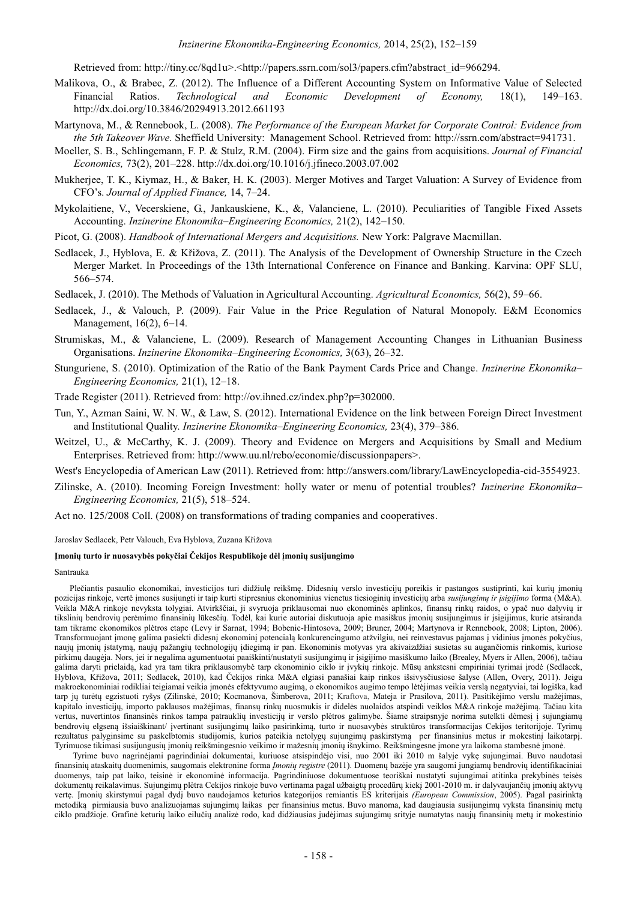Retrieved from: http://tiny.cc/8qd1u>.<http://papers.ssrn.com/sol3/papers.cfm?abstract\_id=966294.

- Malikova, O., & Brabec, Z. (2012). The Influence of a Different Accounting System on Informative Value of Selected Technological Financial Ratios. and Economic Development  $\sigma f$ Economy.  $18(1)$ .  $149 - 163.$ http://dx.doi.org/10.3846/20294913.2012.661193
- Martynova, M., & Rennebook, L. (2008). The Performance of the European Market for Corporate Control: Evidence from the 5th Takeover Wave. Sheffield University: Management School. Retrieved from: http://ssrn.com/abstract=941731.
- Moeller, S. B., Schlingemann, F. P. & Stulz, R.M. (2004). Firm size and the gains from acquisitions. Journal of Financial *Economics*, 73(2), 201–228. http://dx.doi.org/10.1016/j.jfineco.2003.07.002
- Mukherjee, T. K., Kiymaz, H., & Baker, H. K. (2003). Merger Motives and Target Valuation: A Survey of Evidence from CFO's. Journal of Applied Finance, 14, 7-24.
- Mykolaitiene, V., Vecerskiene, G., Jankauskiene, K., &, Valanciene, L. (2010). Peculiarities of Tangible Fixed Assets Accounting. Inzinerine Ekonomika–Engineering Economics, 21(2), 142–150.
- Picot, G. (2008). Handbook of International Mergers and Acquisitions. New York: Palgrave Macmillan.
- Sedlacek, J., Hyblova, E. & Křižova, Z. (2011). The Analysis of the Development of Ownership Structure in the Czech Merger Market. In Proceedings of the 13th International Conference on Finance and Banking. Karvina: OPF SLU, 566-574.
- Sedlacek, J. (2010). The Methods of Valuation in Agricultural Accounting. Agricultural Economics, 56(2), 59–66.
- Sedlacek, J., & Valouch, P. (2009). Fair Value in the Price Regulation of Natural Monopoly. E&M Economics Management, 16(2), 6-14.
- Strumiskas, M., & Valanciene, L. (2009). Research of Management Accounting Changes in Lithuanian Business Organisations. Inzinerine Ekonomika–Engineering Economics, 3(63), 26–32.
- Stunguriene, S. (2010). Optimization of the Ratio of the Bank Payment Cards Price and Change. Inzinerine Ekonomika-Engineering Economics, 21(1), 12-18.
- Trade Register (2011). Retrieved from: http://ov.ihned.cz/index.php?p=302000.
- Tun, Y., Azman Saini, W. N. W., & Law, S. (2012). International Evidence on the link between Foreign Direct Investment and Institutional Quality. Inzinerine Ekonomika-Engineering Economics, 23(4), 379-386.
- Weitzel, U., & McCarthy, K. J. (2009). Theory and Evidence on Mergers and Acquisitions by Small and Medium Enterprises. Retrieved from: http://www.uu.nl/rebo/economie/discussionpapers>.

West's Encyclopedia of American Law (2011). Retrieved from: http://answers.com/library/LawEncyclopedia-cid-3554923.

Zilinske, A. (2010). Incoming Foreign Investment: holly water or menu of potential troubles? Inzinerine Ekonomika-Engineering Economics, 21(5), 518–524.

Act no. 125/2008 Coll. (2008) on transformations of trading companies and cooperatives.

Jaroslav Sedlacek, Petr Valouch, Eva Hyblova, Zuzana Křižova

#### Imonių turto ir nuosavybės pokyčiai Čekijos Respublikoje dėl įmonių susijungimo

#### Santrauka

Plečiantis pasaulio ekonomikai, investicijos turi didžiule reikšme. Didesnių verslo investicijų poreikis ir pastangos sustiprinti, kai kurių imonių pozicijas rinkoje, vertė įmones susijungti ir taip kurti stipresnius ekonominius vienetus tiesioginių investicijų arba susijungimų ir įsigijimo forma (M&A). Veikla M&A rinkoje nevyksta tolygiai. Atvirkščiai, ji svyruoja priklausomai nuo ekonominės aplinkos, finansų rinkų raidos, o ypač nuo dalyvių ir tikslinių bendrovių perėmimo finansinių lūkesčių. Todėl, kai kurie autoriai diskutuoja apie masiškus įmonių susijungimus ir įsigijimus, kurie atsiranda tam tikrame ekonomikos pletros etape (Levy ir Sarnat, 1994; Bobenic-Hintosova, 2009; Bruner, 2004; Martynova ir Rennebook, 2008; Lipton, 2006). Transformuojant įmonę galima pasiekti didesnį ekonominį potencialą konkurencingumo atžvilgiu, nei reinvestavus pajamas į vidinius įmonės pokyčius, naujų įmonių įstatymą, naujų pažangių technologijų įdiegimą ir pan. Ekonominis motyvas yra akivaizdžiai susietas su augančiomis rinkomis, kuriose pirkimų daugėja. Nors, jei ir negalima agumentuotai paaiškinti/nustatyti susijungimų ir įsigijimo masiškumo laiko (Brealey, Myers ir Allen, 2006), tačiau galima daryti prielaidą, kad yra tam tikra priklausomybė tarp ekonominio ciklo ir įvykių rinkoje. Mūsų ankstesni empiriniai tyrimai įrodė (Sedlacek, Hyblova, Křižova, 2011; Sedlacek, 2010), kad Čekijos rinka M&A elgiasi panašiai kaip rinkos išsivysčiusiose šalyse (Allen, Overy, 2011). Jeigu makroekonominiai rodikliai teigiamai veikia įmonės efektyvumo augimą, o ekonomikos augimo tempo lėtėjimas veikia verslą negatyviai, tai logiška, kad tarp jų turėtų egzistuoti ryšys (Zilinskė, 2010; Kocmanova, Šimberova, 2011; Kraftova, Mateja ir Prasilova, 2011). Pasitikėjimo verslu mažėjimas, kapitalo investicijų, importo paklausos mažėjimas, finansų rinkų nuosmukis ir didelės nuolaidos atspindi veiklos M&A rinkoje mažėjimą. Tačiau kita vertus, nuvertintos finansinės rinkos tampa patrauklių investicijų ir verslo plėtros galimybe. Šiame straipsnyje norima sutelkti dėmesį į sujungiamų bendrovių elgseną išsiaiškinant/ įvertinant susijungimų laiko pasirinkimą, turto ir nuosavybės struktūros transformacijas Cekijos teritorijoje. Tyrimų rezultatus palyginsime su paskelbtomis studijomis, kurios pateikia netolygų sujungimų paskirstymą per finansinius metus ir mokestinį laikotarpį. Tyrimuose tikimasi susijungusių įmonių reikšmingesnio veikimo ir mažesnių įmonių išnykimo. Reikšmingesne įmone yra laikoma stambesnė įmonė.

Tyrime buvo nagrinėjami pagrindiniai dokumentai, kuriuose atsispindėjo visi, nuo 2001 iki 2010 m šalyje vykę sujungimai. Buvo naudotasi finansinių ataskaitų duomenimis, saugomais elektronine forma *[monių registre* (2011). Duomenų bazėje yra saugomi jungiamų bendrovių identifikaciniai duomenys, taip pat laiko, teisinė ir ekonominė informacija. Pagrindiniuose dokumentuose teoriškai nustatyti sujungimai atitinka prekybinės teisės dokumentų reikalavimus. Sujungimų plėtra Cekijos rinkoje buvo vertinama pagal užbaigtų procedūrų kiekį 2001-2010 m. ir dalyvaujančių imonių aktyvų vertę. Imonių skirstymui pagal dydį buvo naudojamos keturios kategorijos remiantis ES kriterijais (European Commission, 2005). Pagal pasirinktą metodiką pirmiausia buvo analizuojamas sujungimų laikas per finansinius metus. Buvo manoma, kad daugiausia susijungimų vyksta finansinių metų ciklo pradžioje. Grafinė keturių laiko eilučių analizė rodo, kad didžiausias judėjimas sujungimų srityje numatytas naujų finansinių metų ir mokestinio